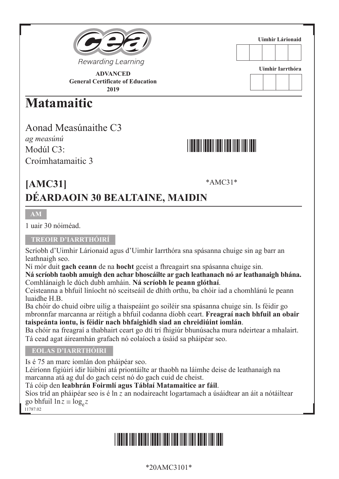



**Uimhir Lárionaid**

**ADVANCED General Certificate of Education 2019**

## **Matamaitic**

Aonad Measúnaithe C3 *ag measúnú* Modúl C3: Croímhatamaitic 3



### \*AMC31\* **[AMC31] DÉARDAOIN 30 BEALTAINE, MAIDIN**

## **AM**

1 uair 30 nóiméad.

### **TREOIR D'IARRTHÓIRÍ**

Scríobh d'Uimhir Lárionaid agus d'Uimhir Iarrthóra sna spásanna chuige sin ag barr an leathnaigh seo.

Ní mór duit **gach ceann** de na **hocht** gceist a fhreagairt sna spásanna chuige sin.

**Ná scríobh taobh amuigh den achar bhoscáilte ar gach leathanach nó ar leathanaigh bhána.** Comhlánaigh le dúch dubh amháin. **Ná scríobh le peann glóthaí**.

Ceisteanna a bhfuil líníocht nó sceitseáil de dhíth orthu, ba chóir iad a chomhlánú le peann luaidhe H.B.

Ba chóir do chuid oibre uilig a thaispeáint go soiléir sna spásanna chuige sin. Is féidir go mbronnfar marcanna ar réitigh a bhfuil codanna díobh ceart. **Freagraí nach bhfuil an obair taispeánta iontu, is féidir nach bhfaighidh siad an chreidiúint iomlán**.

Ba chóir na freagraí a thabhairt ceart go dtí trí fhigiúr bhunúsacha mura ndeirtear a mhalairt. Tá cead agat áireamhán grafach nó eolaíoch a úsáid sa pháipéar seo.

### **EOLAS D'IARRTHÓIRI**

Is é 75 an marc iomlán don pháipéar seo.

Léiríonn figiúirí idir lúibíní atá priontáilte ar thaobh na láimhe deise de leathanaigh na marcanna atá ag dul do gach ceist nó do gach cuid de cheist.

Tá cóip den **leabhrán Foirmlí agus Táblaí Matamaitice ar fáil**.

Síos tríd an pháipéar seo is é ln *z* an nodaireacht logartamach a úsáidtear an áit a nótáiltear go bhfuil  $\ln z \equiv \log_{2} z$ 

11787.02

# \*20AMC3101\*

## \*20AMC3101\*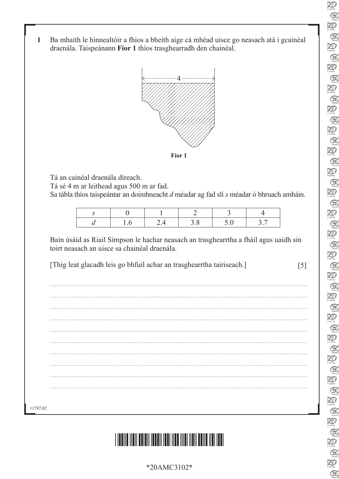- 泡  $Q$  $\sum_{\text{learning}}$  $Q$ Ð  $\alpha$ Ð **A** Ð  $Q$ Ð  $\alpha$ Ð  $\alpha$ P)  $\alpha$ Q  $Q$ 泡  $\alpha$ XD  $Q$ 泡  $\alpha$ Ð  $\alpha$ Ð  $\alpha$ Ð  $\alpha$  $\sum_{\text{learning}}$  $Q$  $\sum_{i \in \text{sum}}$  $\alpha$ 泡  $Q$ Ð  $Q$ Q  $\alpha$ 泡  $Q$ 泡  $\mathcal{Q}$ Ð B.
- **1** Ba mhaith le hinnealtóir a fhios a bheith aige cá mhéad uisce go neasach atá i gcainéal draenála. Taispeánann **Fíor 1** thíos trasghearradh den chainéal.



Tá an cainéal draenála díreach.

Tá sé 4 m ar leithead agus 500 m ar fad.

Sa tábla thíos taispeántar an doimhneacht *d* méadar ag fad slí *s* méadar ó bhruach amháin.

Bain úsáid as Riail Simpson le hachar neasach an trasghearrtha a fháil agus uaidh sin toirt neasach an uisce sa chainéal draenála.

[Thig leat glacadh leis go bhfuil achar an trasghearrtha tairiseach.] [5]

11787.02



\*20AMC3102\*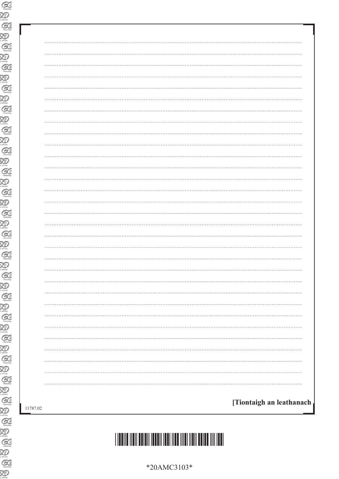| $\cdots$                                                |
|---------------------------------------------------------|
|                                                         |
|                                                         |
|                                                         |
|                                                         |
|                                                         |
|                                                         |
|                                                         |
| .                                                       |
|                                                         |
|                                                         |
|                                                         |
| .                                                       |
|                                                         |
|                                                         |
| .                                                       |
|                                                         |
|                                                         |
|                                                         |
|                                                         |
| $\cdots$                                                |
| .                                                       |
|                                                         |
|                                                         |
|                                                         |
|                                                         |
|                                                         |
|                                                         |
|                                                         |
|                                                         |
|                                                         |
|                                                         |
| [Tiontaigh an leathanach <sub>]</sub><br>$\overline{c}$ |
|                                                         |

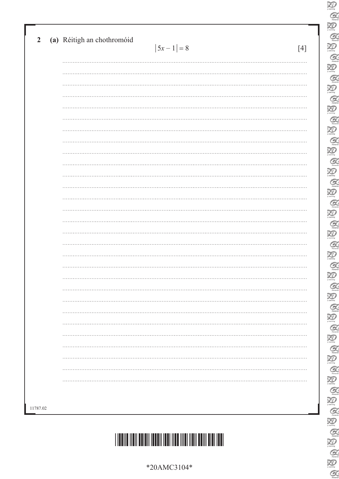|          | (a) Réitigh an chothromóid | $ 5x - 1  = 8$ | $[4]$ |
|----------|----------------------------|----------------|-------|
|          |                            |                |       |
|          |                            |                |       |
|          |                            |                |       |
|          |                            |                |       |
|          |                            |                |       |
|          |                            |                |       |
|          |                            |                |       |
|          |                            |                |       |
|          |                            |                |       |
|          |                            |                |       |
|          |                            |                |       |
|          |                            |                |       |
|          |                            |                |       |
|          |                            |                |       |
|          |                            |                |       |
|          |                            |                |       |
|          |                            |                |       |
|          |                            |                |       |
|          |                            |                |       |
|          |                            |                |       |
|          |                            |                |       |
|          |                            |                |       |
|          |                            |                |       |
|          |                            |                |       |
|          |                            |                |       |
|          |                            |                |       |
|          |                            |                |       |
|          |                            |                |       |
|          |                            |                |       |
| 11787.02 |                            |                |       |

 $\sum_{\text{learning}}$  $\alpha$  $\sum_{\text{learning}}$  $\alpha$  $\sum_{n=1}^{\infty}$  $\alpha$  $\sum_{\text{learning}}$  $\mathcal{Q}$  $\sum_{\text{theory}}$  $\alpha$  $\sum_{\text{domain}}$  $\mathcal{Q}$  $\sum_{n=1}^{\infty}$  $\alpha$  $\sum_{\text{mean}}$  $\mathcal{Q}$  $\sum_{i \text{ learning}}$  $\mathcal{Q}$  $\sum_{i \text{ family}}$  $\mathcal{C}$  $\sum_{n=1}^{\infty}$  $\alpha$  $\sum_{\text{learning}}$  $\mathcal{Q}$  $\sum_{\text{learning}}$  $\mathcal{G}$  $\overline{\mathcal{Z}}$  $\alpha$  $\sum_{\text{learning}}$  $Q$  $\overline{\mathbf{X}}$  $\mathcal{Q}$  $\overline{\mathbf{R}}$  $\mathcal{Q}$  $\sum_{i \text{ convex}}$ 

 $\frac{1}{2}$ 

C.

 $\alpha$  $\sum_{\gamma \text{Learning}}$ 

 $\frac{1}{2}$ 

 $\alpha$ 



\*20AMC3104\*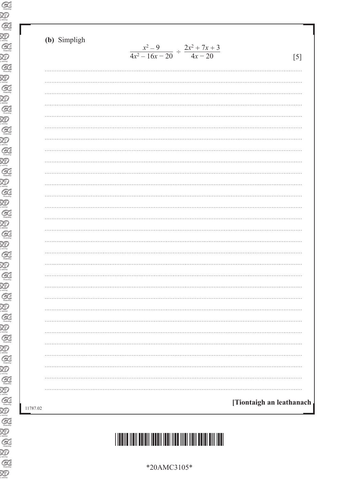| (b) Simpligh |                                                          |                          |
|--------------|----------------------------------------------------------|--------------------------|
|              | $\frac{x^2-9}{4x^2-16x-20} \div \frac{2x^2+7x+3}{4x-20}$ | [5]                      |
|              |                                                          |                          |
|              |                                                          |                          |
|              |                                                          |                          |
|              |                                                          |                          |
|              |                                                          |                          |
|              |                                                          |                          |
|              |                                                          |                          |
|              |                                                          |                          |
|              |                                                          |                          |
|              |                                                          |                          |
|              |                                                          |                          |
|              |                                                          |                          |
|              |                                                          |                          |
|              |                                                          |                          |
|              |                                                          |                          |
|              |                                                          |                          |
|              |                                                          |                          |
|              |                                                          |                          |
|              |                                                          |                          |
|              |                                                          |                          |
|              |                                                          |                          |
|              |                                                          |                          |
|              |                                                          |                          |
|              |                                                          |                          |
|              |                                                          |                          |
|              |                                                          |                          |
|              |                                                          |                          |
|              |                                                          |                          |
|              |                                                          |                          |
|              |                                                          |                          |
|              |                                                          |                          |
|              |                                                          | [Tiontaigh an leathanach |
|              |                                                          |                          |

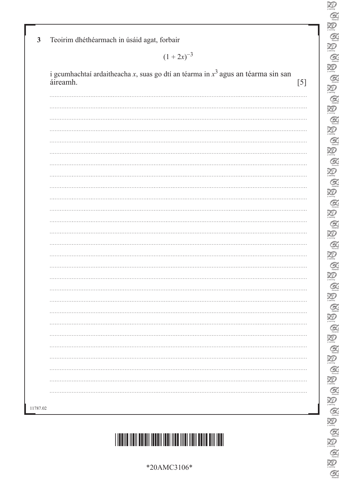| *20AMC3106* |
|-------------|
|-------------|

# \*20AMC3106\*

| áireamh. | i gcumhachtaí ardaitheacha x, suas go dtí an téarma in $x^3$ agus an téarma sin san |  |  |
|----------|-------------------------------------------------------------------------------------|--|--|
|          |                                                                                     |  |  |
|          |                                                                                     |  |  |
|          |                                                                                     |  |  |
|          |                                                                                     |  |  |
|          |                                                                                     |  |  |
|          |                                                                                     |  |  |
|          |                                                                                     |  |  |
|          |                                                                                     |  |  |
|          |                                                                                     |  |  |
|          |                                                                                     |  |  |
|          |                                                                                     |  |  |
|          |                                                                                     |  |  |
|          |                                                                                     |  |  |
|          |                                                                                     |  |  |
|          |                                                                                     |  |  |
|          |                                                                                     |  |  |
|          |                                                                                     |  |  |
|          |                                                                                     |  |  |
|          |                                                                                     |  |  |
|          |                                                                                     |  |  |
|          |                                                                                     |  |  |
|          |                                                                                     |  |  |
|          |                                                                                     |  |  |
|          |                                                                                     |  |  |
|          |                                                                                     |  |  |
|          |                                                                                     |  |  |
|          |                                                                                     |  |  |
|          |                                                                                     |  |  |
|          |                                                                                     |  |  |

**3** Teoirim dhéthéarmach in úsáid agat, forbair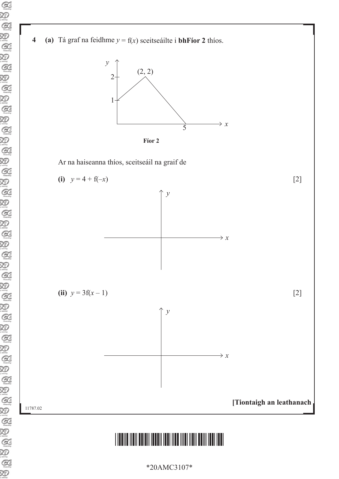



Ar na haiseanna thíos, sceitseáil na graif de



## \*20AMC3107\*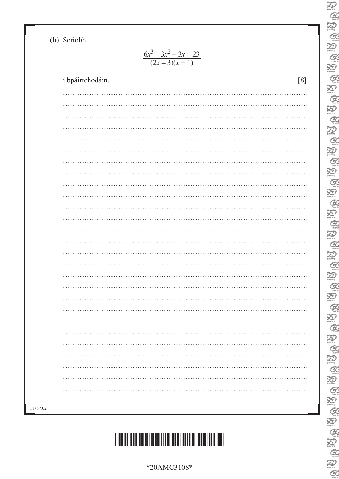**(b)** Scríobh

11787.02

 $6x^3 - 3x^2 + 3x - 23$  $(2x-3)(x+1)$ 

|          | i bpáirtchodáin. |  |  |   |
|----------|------------------|--|--|---|
|          |                  |  |  |   |
|          |                  |  |  |   |
|          |                  |  |  |   |
|          |                  |  |  |   |
|          |                  |  |  |   |
|          |                  |  |  |   |
|          |                  |  |  |   |
|          |                  |  |  |   |
|          | .                |  |  |   |
|          |                  |  |  |   |
|          |                  |  |  |   |
| $\cdots$ |                  |  |  |   |
|          |                  |  |  |   |
|          |                  |  |  |   |
|          | .                |  |  |   |
|          |                  |  |  |   |
|          |                  |  |  | . |
|          |                  |  |  |   |
|          |                  |  |  |   |
|          |                  |  |  |   |
|          |                  |  |  |   |
|          |                  |  |  |   |
|          |                  |  |  |   |
|          |                  |  |  |   |
|          |                  |  |  |   |

\*20AMC3108\*

| Ξ<br>$\partial$                   |
|-----------------------------------|
| Ŗ                                 |
| <b>A</b>                          |
|                                   |
| Đ                                 |
| Q                                 |
|                                   |
| Ð<br>X                            |
| Q                                 |
|                                   |
| E<br>$\overline{\ell}$            |
|                                   |
| Q                                 |
| X<br>Þ                            |
|                                   |
| Q                                 |
| X<br>$\partial$                   |
|                                   |
| $\epsilon$<br>Ź                   |
|                                   |
| X<br>$\overline{\ell}$            |
| G                                 |
|                                   |
| X<br>$\overline{\phantom{a}}$     |
| a                                 |
|                                   |
| X<br>Þ                            |
|                                   |
| Q                                 |
| Ð                                 |
|                                   |
| $\mathcal C$<br>X                 |
| XI)                               |
|                                   |
| $\overline{G}$<br>灵               |
| Đ                                 |
|                                   |
| $\mathcal Q$<br>i                 |
|                                   |
| Ð<br>71                           |
| $\widehat{G}$                     |
|                                   |
| R                                 |
|                                   |
| l<br>d                            |
| $\geqslant$<br>Þ                  |
|                                   |
| Ç                                 |
| $\mathfrak{Z}$                    |
|                                   |
| $\mathcal{C}_{i}^{(n)}$           |
|                                   |
| Ŗ                                 |
| Ç                                 |
|                                   |
| $\widetilde{\mathcal{X}}$         |
| C                                 |
|                                   |
| $\mathfrak{Z}$<br>þ               |
|                                   |
| C                                 |
| X                                 |
|                                   |
| C                                 |
| $\mathbb{R}$<br>$\overline{\ell}$ |
|                                   |
| Ó                                 |
|                                   |
| R<br>V                            |
| Ĉ                                 |
|                                   |
| ₹<br>V                            |
| Q                                 |
|                                   |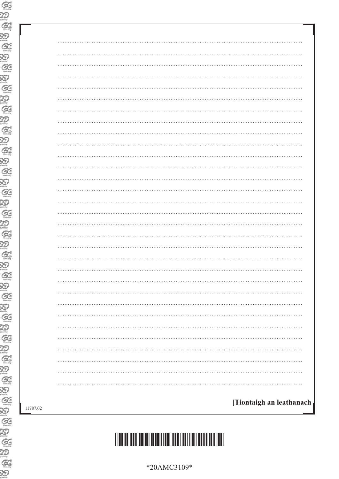| .                        |
|--------------------------|
|                          |
|                          |
| $\cdots$                 |
|                          |
|                          |
|                          |
|                          |
|                          |
|                          |
| .                        |
|                          |
|                          |
|                          |
|                          |
|                          |
|                          |
|                          |
|                          |
|                          |
|                          |
|                          |
| [Tiontaigh an leathanach |
|                          |



\*20AMC3109\*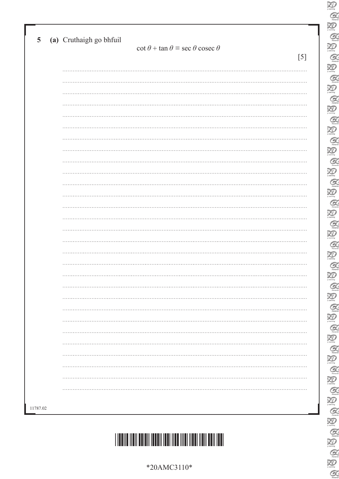| $\cot \theta + \tan \theta \equiv \sec \theta \csc \theta$ |
|------------------------------------------------------------|
|                                                            |
|                                                            |
|                                                            |
|                                                            |
|                                                            |
|                                                            |
|                                                            |
|                                                            |
|                                                            |
|                                                            |
|                                                            |
|                                                            |
|                                                            |
|                                                            |
|                                                            |
|                                                            |
|                                                            |
|                                                            |
|                                                            |
|                                                            |
|                                                            |
|                                                            |
|                                                            |
|                                                            |
|                                                            |
|                                                            |
|                                                            |
|                                                            |
|                                                            |
|                                                            |

 $\sum_{\text{learning}}$  $\alpha$  $\sum_{\text{learning}}$  $\alpha$  $\sum_{n=1}^{\infty}$  $\alpha$  $\sum_{\text{learning}}$  $\mathcal{Q}$  $\sum_{\text{theory}}$  $\alpha$  $\sum_{\text{domain}}$  $\mathcal{Q}$  $\sum_{n=1}^{\infty}$  $\alpha$  $\sum_{\text{mean}}$  $\mathcal{Q}$  $\sum_{i \text{ learning}}$  $\mathcal{Q}$  $\sum_{i \text{ family}}$  $\mathcal{C}$  $\sum_{n=1}^{\infty}$  $\mathcal{Q}$  $\sum_{\text{learning}}$  $\mathcal{Q}$  $\sum_{\text{learning}}$  $\mathcal{G}$  $\overline{\mathcal{Z}}$  $\alpha$  $\sum_{\text{learning}}$  $\mathcal{Q}$  $\sum_{\text{learning}}$  $\mathcal{Q}$  $\sum_{\text{learning}}$  $\mathcal{Q}$  $\sum_{i \text{ convex}}$ 

 $\frac{1}{2}$ 

C.

 $\alpha$  $\sum_{\text{learning}}$ 

 $\frac{1}{2}$ 

 $\alpha$ 

\*20AMC3110\*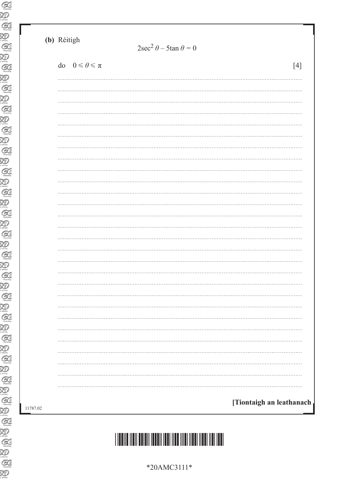|          | (b) Réitigh<br>$2\sec^2 \theta - 5\tan \theta = 0$ |       |
|----------|----------------------------------------------------|-------|
|          | do $0 \le \theta \le \pi$                          | $[4]$ |
|          |                                                    |       |
|          |                                                    |       |
|          |                                                    |       |
|          |                                                    |       |
|          |                                                    |       |
|          |                                                    |       |
|          |                                                    |       |
|          |                                                    |       |
|          |                                                    |       |
|          |                                                    |       |
|          |                                                    |       |
|          |                                                    |       |
|          |                                                    |       |
|          |                                                    |       |
| 11787.02 | [Tiontaigh an leathanach                           |       |

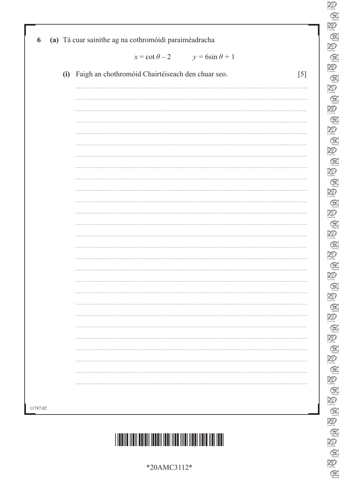| 6        | (a) Tá cuar sainithe ag na cothromóidí paraiméadracha        |
|----------|--------------------------------------------------------------|
|          | $x = \cot \theta - 2$ $y = 6\sin \theta + 1$                 |
|          | (i) Faigh an chothromóid Chairtéiseach den chuar seo.<br>[5] |
|          |                                                              |
|          |                                                              |
|          |                                                              |
|          |                                                              |
|          |                                                              |
|          |                                                              |
|          |                                                              |
|          |                                                              |
|          |                                                              |
|          |                                                              |
|          |                                                              |
|          |                                                              |
|          |                                                              |
|          |                                                              |
|          |                                                              |
|          |                                                              |
|          |                                                              |
|          |                                                              |
|          |                                                              |
|          |                                                              |
|          |                                                              |
|          |                                                              |
|          |                                                              |
|          |                                                              |
|          |                                                              |
|          |                                                              |
| 11787.02 |                                                              |
|          |                                                              |

\*20AMC3112\*

 $\sum_{\text{learning}}$  $\alpha$  $\sum_{\text{learning}}$  $\alpha$  $\sum_{n=1}^{\infty}$  $\alpha$  $\sum_{\text{learning}}$  $\mathcal{Q}$  $\sum_{\text{theory}}$  $\alpha$  $\sum_{\text{domain}}$  $\mathcal{Q}$  $\sum_{n=1}^{\infty}$  $\mathcal{Q}$  $\sum_{\text{mean}}$  $\mathcal{Q}$  $\sum_{i \text{ learning}}$  $\mathcal{Q}$  $\sum_{n=1}^{\infty}$  $\mathcal{C}$  $\sum_{n=1}^{\infty}$  $\mathcal{Q}$  $\sum_{\text{learning}}$  $\mathcal{Q}$  $\sum_{\text{learning}}$  $\mathcal{G}$  $\overline{\mathcal{Z}}$  $\alpha$  $\sum_{\text{learning}}$  $\mathcal{Q}$  $\sum_{\text{learning}}$  $\mathcal{Q}$  $\overline{\mathbf{Z}}$  $\mathcal{Q}$  $\sum_{i \text{ convex}}$ 

 $\frac{1}{2}$ 

C.

 $\alpha$  $\sum_{\text{learning}}$ 

E<br>E

 $\alpha$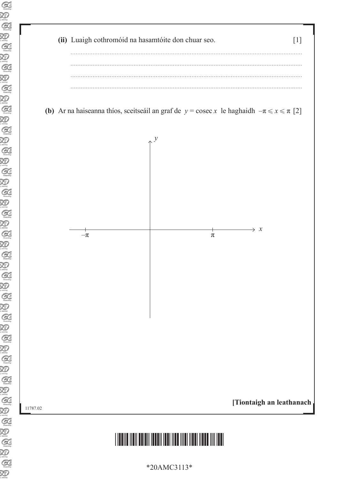

**(b)** Ar na haiseanna thíos, sceitseáil an graf de  $y = \csc x$  le haghaidh  $-\pi \le x \le \pi$  [2]

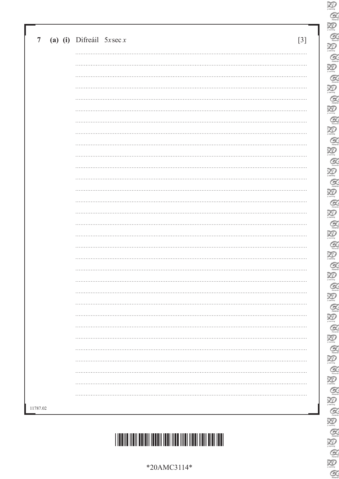| *20AMC3114* |
|-------------|
|-------------|

# 

|          | $\overline{7}$ | (a) (i) Difreail $5x \sec x$ | $\lceil 3 \rceil$ |
|----------|----------------|------------------------------|-------------------|
|          |                |                              |                   |
|          |                |                              |                   |
|          |                |                              |                   |
|          |                |                              |                   |
|          |                |                              |                   |
|          |                |                              |                   |
|          |                |                              |                   |
|          |                |                              |                   |
|          |                |                              |                   |
|          |                |                              |                   |
|          |                |                              |                   |
|          |                |                              |                   |
|          |                |                              |                   |
|          |                |                              |                   |
|          |                |                              |                   |
|          |                |                              |                   |
|          |                |                              |                   |
|          |                |                              |                   |
|          |                |                              |                   |
|          |                |                              |                   |
|          |                |                              |                   |
|          |                |                              |                   |
|          |                |                              |                   |
|          |                |                              |                   |
| 11787.02 |                |                              |                   |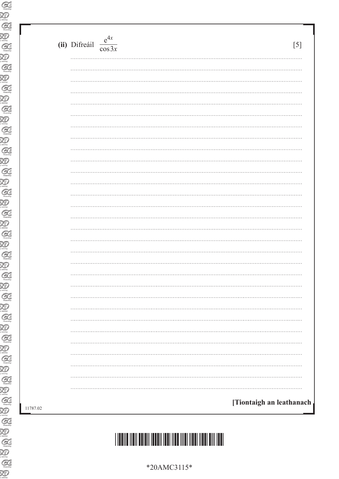| $\cos 3x$<br>.<br>$\cdots$<br>.<br>$\cdots$ |
|---------------------------------------------|
|                                             |
|                                             |
|                                             |
|                                             |
|                                             |
|                                             |
|                                             |
|                                             |
|                                             |
| .                                           |
| .                                           |
|                                             |
| .                                           |
| .                                           |
|                                             |
|                                             |
| .                                           |
|                                             |
| .                                           |
|                                             |
|                                             |
| .                                           |
|                                             |
| .                                           |
|                                             |
|                                             |
|                                             |
|                                             |
|                                             |
|                                             |
|                                             |
|                                             |
|                                             |
|                                             |

Œ

 $\alpha$ 

 $[5]$ 

[Tiontaigh an leathanach

\*20AMC3115\*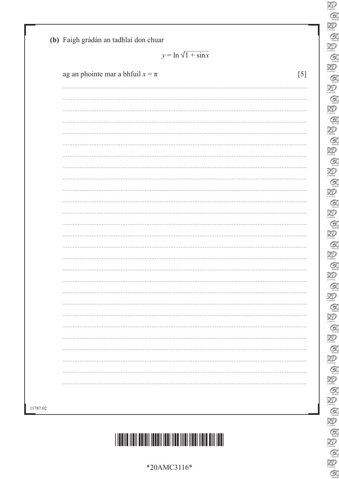# \*20AMC3116\*

|                                      | $y = \ln \sqrt{1 + \sin x}$ |  |  |
|--------------------------------------|-----------------------------|--|--|
| ag an phointe mar a bhfuil $x = \pi$ | $[5]$                       |  |  |
|                                      |                             |  |  |
|                                      |                             |  |  |
|                                      |                             |  |  |
|                                      |                             |  |  |
|                                      |                             |  |  |
|                                      |                             |  |  |
|                                      |                             |  |  |
|                                      |                             |  |  |
|                                      |                             |  |  |
|                                      |                             |  |  |
|                                      |                             |  |  |
|                                      |                             |  |  |
|                                      |                             |  |  |
|                                      |                             |  |  |
|                                      |                             |  |  |
|                                      |                             |  |  |
|                                      |                             |  |  |
|                                      |                             |  |  |
|                                      |                             |  |  |
|                                      |                             |  |  |
|                                      |                             |  |  |
|                                      |                             |  |  |
|                                      |                             |  |  |
|                                      |                             |  |  |
|                                      |                             |  |  |

 $\sum_{\text{learning}}$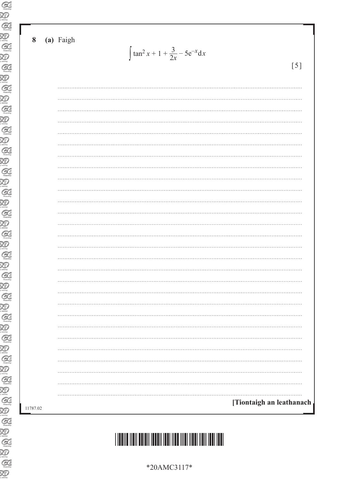#### (a) Faigh 8

 $\int \tan^2 x + 1 + \frac{3}{2x} - 5e^{-x} dx$ 

 $[5]$ 

| .                        |  |
|--------------------------|--|
| [Tiontaigh an leathanach |  |
|                          |  |

\*20AMC3117\*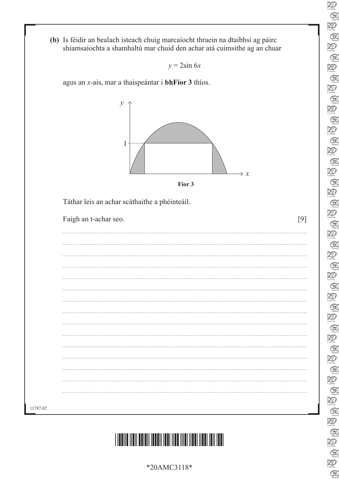

| $y = 2\sin 6x$                                                |                 |
|---------------------------------------------------------------|-----------------|
|                                                               |                 |
| agus an $x$ -ais, mar a thaispeántar i <b>bhFíor 3</b> thíos. |                 |
| у<br>1<br>Fíor 3                                              | $\rightarrow x$ |
|                                                               |                 |
|                                                               |                 |
| Táthar leis an achar scáthaithe a phéinteáil.                 |                 |
|                                                               |                 |
| Faigh an t-achar seo.                                         | [9]             |
|                                                               |                 |
|                                                               |                 |
|                                                               |                 |
|                                                               |                 |
|                                                               |                 |
|                                                               |                 |
|                                                               |                 |
|                                                               |                 |
|                                                               |                 |
|                                                               |                 |
|                                                               |                 |
|                                                               |                 |
|                                                               |                 |
|                                                               |                 |

\*20AMC3118\*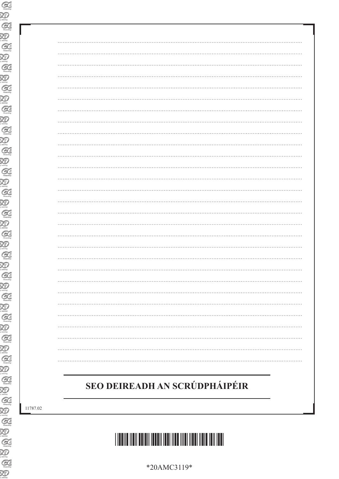## SEO DEIREADH AN SCRÚDPHÁIPÉIR

11787.02



\*20AMC3119\*